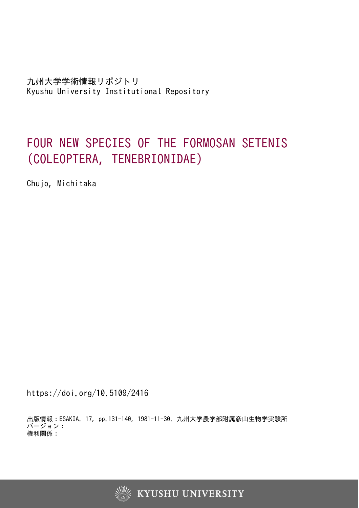# FOUR NEW SPECIES OF THE FORMOSAN SETENIS (COLEOPTERA, TENEBRIONIDAE)

Chujo, Michitaka

https://doi.org/10.5109/2416

出版情報:ESAKIA. 17, pp.131-140, 1981-11-30. 九州大学農学部附属彦山生物学実験所 バージョン: 権利関係:

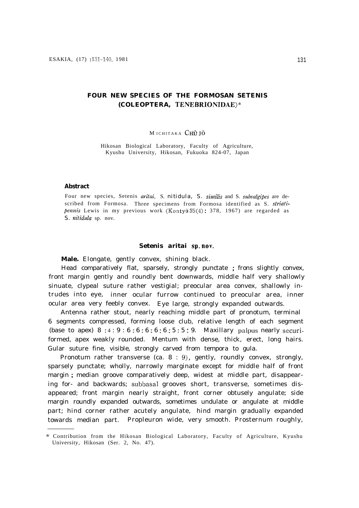# **FOUR NEW SPECIES OF THE FORMOSAN SETENIS (COLEOPTERA, TENEBRIONIDAE)\***

#### M ICHITAKA CHÛ JÔ

Hikosan Biological Laboratory, Faculty of Agriculture, Kyushu University, Hikosan, Fukuoka 824-07, Japan

#### **Abstract**

Four new species, Setenis aritai, S. *nitidula, S. sirnilis* and S. *subualgipes* are described from Formosa. Three specimens from Formosa identified as S. *striatipennis* Lewis in my previous work (Kontyû 35(4): 378, 1967) are regarded as *S. nitidula* sp. nov.

### *Setenis aritai sp. nav.*

**Male.** Elongate, gently convex, shining black.

Head comparatively flat, sparsely, strongly punctate ; frons slightly convex, front margin gently and roundly bent downwards, middle half very shallowly sinuate, clypeal suture rather vestigial; preocular area convex, shallowly intrudes into eye, inner ocular furrow continued to preocular area, inner ocular area very feebly convex. Eye large, strongly expanded outwards.

Antenna rather stout, nearly reaching middle part of pronotum, terminal 6 segments compressed, forming loose club, relative length of each segment (base to apex)  $8 : 4 : 9 : 6 : 6 : 6 : 6 : 6 : 5 : 5 : 9$ . Maxillary palpus nearly securiformed, apex weakly rounded. Mentum with dense, thick, erect, long hairs. Gular suture fine, visible, strongly carved from tempora to gula.

Pronotum rather transverse (ca. 8 : 9), gently, roundly convex, strongly, sparsely punctate; wholly, narrowly marginate except for middle half of front margin ; median groove comparatively deep, widest at middle part, disappearing for- and backwards; subbasal grooves short, transverse, sometimes disappeared; front margin nearly straight, front corner obtusely angulate; side margin roundly expanded outwards, sometimes undulate or angulate at middle part; hind corner rather acutely angulate, hind margin gradually expanded towards median part. Propleuron wide, very smooth. Prosternum roughly,

<sup>\*</sup> Contribution from the Hikosan Biological Laboratory, Faculty of Agriculture, Kyushu University, Hikosan (Ser. 2, No. 47).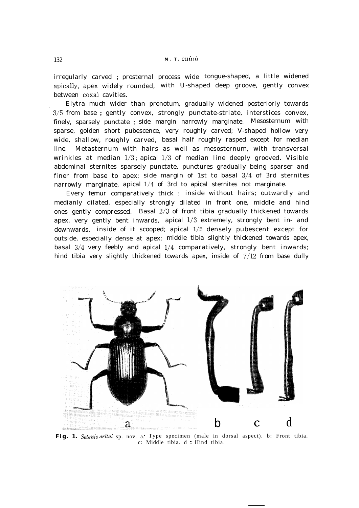irregularly carved ; prosternal process wide tongue-shaped, a little widened apically, apex widely rounded, with U-shaped deep groove, gently convex between coxal cavities.

<sup>L</sup> Elytra much wider than pronotum, gradually widened posteriorly towards 3/5 from base ; gently convex, strongly punctate-striate, interstices convex, finely, sparsely punctate ; side margin narrowly marginate. Mesosternum with sparse, golden short pubescence, very roughly carved; V-shaped hollow very wide, shallow, roughly carved, basal half roughly rasped except for median line. Metasternum with hairs as well as mesosternum, with transversal wrinkles at median  $1/3$ ; apical  $1/3$  of median line deeply grooved. Visible abdominal sternites sparsely punctate, punctures gradually being sparser and finer from base to apex; side margin of 1st to basal 3/4 of 3rd sternites narrowly marginate, apical  $1/4$  of 3rd to apical sternites not marginate.

Every femur comparatively thick ; inside without hairs; outwardly and medianly dilated, especially strongly dilated in front one, middle and hind ones gently compressed. Basal  $2/3$  of front tibia gradually thickened towards apex, very gently bent inwards, apical l/3 extremely, strongly bent in- and downwards, inside of it scooped; apical l/5 densely pubescent except for outside, especially dense at apex; middle tibia slightly thickened towards apex, basal 3/4 very feebly and apical l/4 comparatively, strongly bent inwards; hind tibia very slightly thickened towards apex, inside of 7/12 from base dully



Fig. 1. Setenis aritai sp. nov. a.\* Type specimen (male in dorsal aspect). b: Front tibia. c: Middle tibia. d : Hind tibia.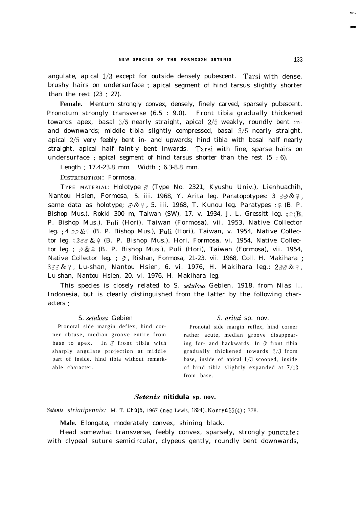angulate, apical l/3 except for outside densely pubescent. **Tarsi** with dense, brushy hairs on undersurface ; apical segment of hind tarsus slightly shorter than the rest (23 : 27).

**Female.** Mentum strongly convex, densely, finely carved, sparsely pubescent. Pronotum strongly transverse (6.5 : 9.0). Front tibia gradually thickened towards apex, basal 3/5 nearly straight, apical 2/5 weakly, roundly bent inand downwards; middle tibia slightly compressed, basal 3/5 nearly straight, apical Z/5 very feebly bent in- and upwards; hind tibia with basal half nearly straight, apical half faintly bent inwards. Tarsi with fine, sparse hairs on undersurface ; apical segment of hind tarsus shorter than the rest  $(5 : 6)$ .

Length : 17.4-23.8 mm. Width : 6.3-8.8 mm.

DISTRIBUTION: Formosa.

TYPE MATERIAL: Holotype  $\delta$  (Type No. 2321, Kyushu Univ.), Lienhuachih, Nantou Hsien, Formosa, 5. iii. 1968, Y. Arita leg. Paratopotypes: 3 33& & , same data as holotype;  $\delta \& 9$ , 5. iii. 1968, T. Kunou leg. Paratypes : 9 (B. P. Bishop Mus.), Rokki 300 m, Taiwan (SW), 17. v. 1934, J. L. Gressitt leg.  $;\mathcal{P}(B, \mathcal{P})$ P. Bishop Mus.), Puli (Hori), Taiwan (Formosa), vii. 1953, Native Collector leg. ;  $4 \partial \partial \& Q$  (B. P. Bishop Mus.), Puli (Hori), Taiwan, v. 1954, Native Collector leg. ;  $2\text{ and } \& \infty$  (B. P. Bishop Mus.), Hori, Formosa, vi. 1954, Native Collector leg. ;  $\partial \& 9$  (B. P. Bishop Mus.), Puli (Hori), Taiwan (Formosa), vii. 1954, Native Collector leg. ;  $\sigma$ , Rishan, Formosa, 21-23. vii. 1968, Coll. H. Makihara ;  $3\delta\delta\&9$ , Lu-shan, Nantou Hsien, 6. vi. 1976, H. Makihara leg.;  $2\delta\delta\&9$ . Lu-shan, Nantou Hsien, 20. vi. 1976, H. Makihara leg.

This species is closely related to S. *setulosa* Gebien, 1918, from Nias I., Indonesia, but is clearly distinguished from the latter by the following characters :

# S. setulosa Gebien

Pronotal side margin deflex, hind corner obtuse, median groove entire from base to apex. In  $\delta$  front tibia with sharply angulate projection at middle part of inside, hind tibia without remarkable character.

# *S. aritai* sp. nov.

Pronotal side margin reflex, hind corner rather acute, median groove disappearing for- and backwards. In  $\delta$  front tibia gradually thickened towards Z/3 from base, inside of apical  $1/3$  scooped, inside of hind tibia slightly expanded at 7/12 from base.

# *Setenis nitidula* sp. **nov.**

*Setenis striatipennis: M. T. Chûjô, 1967 (nec Lewis, 1894), Kontyû 35(4): 378.* 

**Male.** Elongate, moderately convex, shining black.

Head somewhat transverse, feebly convex, sparsely, strongly punctate ; with clypeal suture semicircular, clypeus gently, roundly bent downwards,

-\_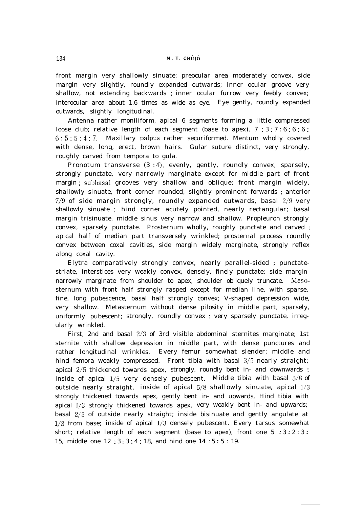front margin very shallowly sinuate; preocular area moderately convex, side margin very slightly, roundly expanded outwards; inner ocular groove very shallow, not extending backwards ; inner ocular furrow very feebly convex; interocular area about 1.6 times as wide as eye. Eye gently, roundly expanded outwards, slightly longitudinal.

Antenna rather moniliform, apical 6 segments forming a little compressed loose club; relative length of each segment (base to apex),  $7 : 3 : 7 : 6 : 6 : 6 : 6$ 6:5:5:4:7. Maxillary palpus rather securiformed. Mentum wholly covered with dense, long, erect, brown hairs. Gular suture distinct, very strongly, roughly carved from tempora to gula.

Pronotum transverse  $(3:4)$ , evenly, gently, roundly convex, sparsely, strongly punctate, very narrowly marginate except for middle part of front margin ; subbasal grooves very shallow and oblique; front margin widely, shallowly sinuate, front corner rounded, slightly prominent forwards ; anterior  $7/9$  of side margin strongly, roundly expanded outwards, basal  $2/9$  very shallowly sinuate ; hind corner acutely pointed, nearly rectangular; basal margin trisinuate, middle sinus very narrow and shallow. Propleuron strongly convex, sparsely punctate. Prosternum wholly, roughly punctate and carved ; apical half of median part transversely wrinkled; prosternal process roundly convex between coxal cavities, side margin widely marginate, strongly reflex along coxal cavity.

Elytra comparatively strongly convex, nearly parallel-sided ; punctatestriate, interstices very weakly convex, densely, finely punctate; side margin narrowly marginate from shoulder to apex, shoulder obliquely truncate. Mesosternum with front half strongly rasped except for median line, with sparse, fine, long pubescence, basal half strongly convex; V-shaped depression wide, very shallow. Metasternum without dense pilosity in middle part, sparsely, uniformly pubescent; strongly, roundly convex ; very sparsely punctate, irregularly wrinkled.

First, 2nd and basal 2/3 of 3rd visible abdominal sternites marginate; 1st sternite with shallow depression in middle part, with dense punctures and rather longitudinal wrinkles. Every femur somewhat slender; middle and hind femora weakly compressed. Front tibia with basal 3/5 nearly straight; apical Z/5 thickened towards apex, strongly, roundly bent in- and downwards ; inside of apical l/5 very densely pubescent. Middle tibia with basal 5/8 of outside nearly straight, inside of apical  $5/8$  shallowly sinuate, apical  $1/3$ strongly thickened towards apex, gently bent in- and upwards, Hind tibia with apical l/3 strongly thickened towards apex, very weakly bent in- and upwards; basal 2/3 of outside nearly straight; inside bisinuate and gently angulate at  $1/3$  from base; inside of apical  $1/3$  densely pubescent. Every tarsus somewhat short; relative length of each segment (base to apex), front one  $5 : 3 : 2 : 3 :$ 15, middle one 12 : 3 : 3 : 4 : 18, and hind one 14 : 5 : 5 : 19.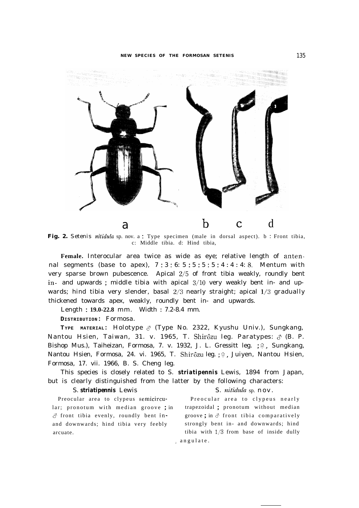

Fig. 2. Setenis nitidula sp. nov. a: Type specimen (male in dorsal aspect). b: Front tibia, c: Middle tibia. d: Hind tibia,

**Female.** Interocular area twice as wide as eye; relative length of antennal segments (base to apex),  $7:3:6:5:5:5:5:4:4:4:8$ . Mentum with very sparse brown pubescence. Apical Z/5 of front tibia weakly, roundly bent in- and upwards ; middle tibia with apical 3/10 very weakly bent in- and upwards; hind tibia very slender, basal  $2/3$  nearly straight; apical  $1/3$  gradually thickened towards apex, weakly, roundly bent in- and upwards.

Length : **19.0-22.8** mm. Width : 7.2-8.4 mm.

**DISTRIBUTION:** Formosa.

**TYPE MATERIAL:** Holotype 3 (Type No. 2322, Kyushu Univ.), Sungkang, Nantou Hsien, Taiwan, 31. v. 1965, T. Shirôzu leg. Paratypes:  $\delta$  (B. P. Bishop Mus.), Taiheizan, Formosa, 7. v. 1932, J. L. Gressitt leg. ; º, Sungkang, Nantou Hsien, Formosa, 24. vi. 1965, T. Shirôzu leg. ; 9, Juiyen, Nantou Hsien, Formosa, 17. vii. 1966, B. S. Cheng leg.

This species is closely related to S. *striatipennis* Lewis, 1894 from Japan, but is clearly distinguished from the latter by the following characters:

#### S. *striatipennis* Lewis S. *nitidula* sp. nov.

lar; pronotum with median groove ; in trapezoidal ; pronotum without median  $\delta$  front tibia evenly, roundly bent in- groove; in  $\delta$  front tibia comparatively and downwards; hind tibia very feebly strongly bent in- and downwards; hind arcuate. tibia with l/3 from base of inside dully

Preocular area to clypeus semicircu- Preocular area to clypeus nearly , angulate.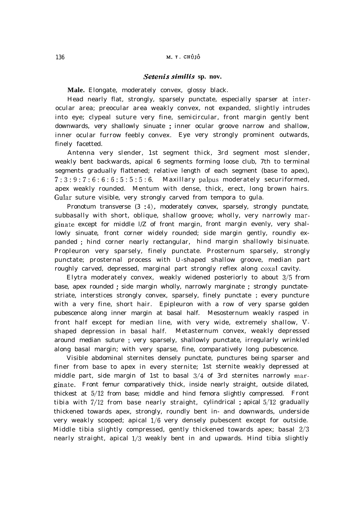# *Setenis similis* sp. nov.

**Male.** Elongate, moderately convex, glossy black.

Head nearly flat, strongly, sparsely punctate, especially sparser at interocular area; preocular area weakly convex, not expanded, slightly intrudes into eye; clypeal suture very fine, semicircular, front margin gently bent downwards, very shallowly sinuate ; inner ocular groove narrow and shallow, inner ocular furrow feebly convex. Eye very strongly prominent outwards, finely facetted.

Antenna very slender, 1st segment thick, 3rd segment most slender, weakly bent backwards, apical 6 segments forming loose club, 7th to terminal segments gradually flattened; relative length of each segment (base to apex), 7:3:9:7:6:6:6:5:5:5:6. Maxillary palpus moderately securiformed, apex weakly rounded. Mentum with dense, thick, erect, long brown hairs. Gular suture visible, very strongly carved from tempora to gula.

Pronotum transverse  $(3 : 4)$ , moderately convex, sparsely, strongly punctate, subbasally with short, oblique, shallow groove; wholly, very narrowly marginate except for middle l/Z of front margin, front margin evenly, very shallowly sinuate, front corner widely rounded; side margin gently, roundly expanded ; hind corner nearly rectangular, hind margin shallowly bisinuate. Propleuron very sparsely, finely punctate. Prosternum sparsely, strongly punctate; prosternal process with U-shaped shallow groove, median part roughly carved, depressed, marginal part strongly reflex along coxal cavity.

Elytra moderately convex, weakly widened posteriorly to about 3/5 from base, apex rounded ; side margin wholly, narrowly marginate ; strongly punctatestriate, interstices strongly convex, sparsely, finely punctate ; every puncture with a very fine, short hair. Epipleuron with a row of very sparse golden pubescence along inner margin at basal half. Mesosternum weakly rasped in front half except for median line, with very wide, extremely shallow, Vshaped depression in basal half. Metasternum convex, weakly depressed around median suture ; very sparsely, shallowly punctate, irregularly wrinkled along basal margin; with very sparse, fine, comparatively long pubescence.

Visible abdominal sternites densely punctate, punctures being sparser and finer from base to apex in every sternite; 1st sternite weakly depressed at middle part, side margin of 1st to basal 3/4 of 3rd sternites narrowly marginate. Front femur comparatively thick, inside nearly straight, outside dilated, thickest at 5/12 from base; middle and hind femora slightly compressed. Front tibia with 7/12 from base nearly straight, cylindrical ; apical 5/12 gradually thickened towards apex, strongly, roundly bent in- and downwards, underside very weakly scooped; apical l/6 very densely pubescent except for outside. Middle tibia slightly compressed, gently thickened towards apex; basal 2/3 nearly straight, apical l/3 weakly bent in and upwards. Hind tibia slightly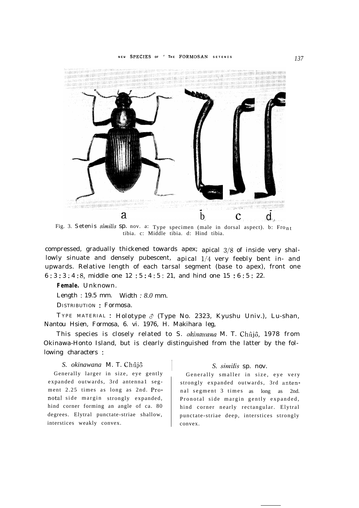

Fig. 3. Setenis similis Sp. nov. a: Type specimen (male in dorsal aspect). b: Fro<sub>nt</sub> tibia. c: Middle tibia. d: Hind tibia.

compressed, gradually thickened towards apex; apical 3/8 of inside very shallowly sinuate and densely pubescent, apical l/4 very feebly bent in- and upwards. Relative length of each tarsal segment (base to apex), front one 6 : 3 : 3 : 4 : 8, middle one 12 : 5 : 4 : 5 : 21, and hind one 15 : 6 : 5 : 22.

**Female.** Unknown.

Length : 19.5 mm. Width *: 8.0* mm.

DISTRIBUTION : Formosa.

TYPE MATERIAL : Holotype  $\sigma$  (Type No. 2323, Kyushu Univ.), Lu-shan, Nantou Hsien, Formosa, 6. vi. 1976, H. Makihara leg,

This species is closely related to S. *okinawana* M. T. Chûjô, 1978 from Okinawa-Honto Island, but is clearly distinguished from the latter by the following characters :

# *S. okinawana M. T. Chûjô S. similis sp. nov.*

Generally larger in size, eye gently expanded outwards, 3rd antenna1 segment 2.25 times as long as 2nd. Pronotal side margin strongly expanded, hind corner forming an angle of ca. 80 degrees. Elytral punctate-striae shallow, interstices weakly convex.

Generally smaller in size, eye very strongly expanded outwards, 3rd antennal segment 3 times as long as 2nd. Pronotal side margin gently expanded, hind corner nearly rectangular. Elytral punctate-striae deep, interstices strongly convex.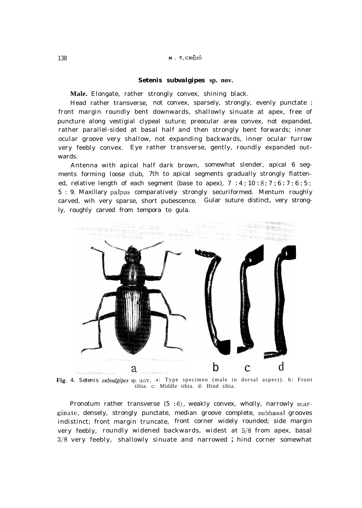### *Setenis subvalgipes* **sp. nov.**

**Male.** Elongate, rather strongly convex, shining black.

Head rather transverse, not convex, sparsely, strongly, evenly punctate ; front margin roundly bent downwards, shallowly sinuate at apex, free of puncture along vestigial clypeal suture; preocular area convex, not expanded, rather parallel-sided at basal half and then strongly bent forwards; inner ocular groove very shallow, not expanding backwards, inner ocular furrow very feebly convex. Eye rather transverse, gently, roundly expanded outwards.

Antenna with apical half dark brown, somewhat slender, apical 6 segments forming loose club, 7th to apical segments gradually strongly flattened, relative length of each segment (base to apex),  $7 : 4 : 10 : 8 : 7 : 6 : 7 : 6 : 5$ : 5 : 9. Maxillary palpus comparatively strongly securiformed. Mentum roughly carved, wih very sparse, short pubescence. Gular suture distinct, very strongly, roughly carved from tempora to gula.



Fig. 4. Setenis subvalgipes sp. nov. a: Type specimen (male in dorsal aspect). b: Front tibia. c: Middle tibia. d: Hind tibia.

Pronotum rather transverse  $(5 \; .6)$ , weakly convex, wholly, narrowly marginate, densely, strongly punctate, median groove complete, subbasal grooves indistinct; front margin truncate, front corner widely rounded; side margin very feebly, roundly widened backwards, widest at 5/8 from apex, basal 3/8 very feebly, shallowly sinuate and narrowed ; hind corner somewhat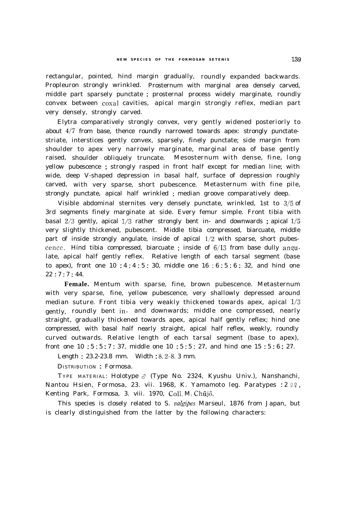rectangular, pointed, hind margin gradually, roundly expanded backwards. Propleuron strongly wrinkled. Prosternum with marginal area densely carved, middle part sparsely punctate ; prosternal process widely marginate, roundly convex between coxal cavities, apical margin strongly reflex, median part very densely, strongly carved.

Elytra comparatively strongly convex, very gently widened posteriorly to about 4/7 from base, thence roundly narrowed towards apex: strongly punctatestriate, interstices gently convex, sparsely, finely punctate; side margin from shoulder to apex very narrowly marginate, marginal area of base gently raised, shoulder obliquely truncate. Mesosternum with dense, fine, long yellow pubescence ; strongly rasped in front half except for median line; with wide, deep V-shaped depression in basal half, surface of depression roughly carved, with very sparse, short pubescence. Metasternum with fine pile, strongly punctate, apical half wrinkled ; median groove comparatively deep.

Visible abdominal sternites very densely punctate, wrinkled, 1st to 3/5 of 3rd segments finely marginate at side. Every femur simple. Front tibia with basal  $2/3$  gently, apical  $1/3$  rather strongly bent in- and downwards; apical  $1/5$ very slightly thickened, pubescent. Middle tibia compressed, biarcuate, middle part of inside strongly angulate, inside of apical  $1/2$  with sparse, short pubescence. Hind tibia compressed, biarcuate ; inside of  $6/13$  from base dully angulate, apical half gently reflex. Relative length of each tarsal segment (base to apex), front one  $10 : 4 : 4 : 5 : 30$ , middle one  $16 : 6 : 5 : 6 : 32$ , and hind one  $22:7:7:44.$ 

**Female.** Mentum with sparse, fine, brown pubescence. Metasternum with very sparse, fine, yellow pubescence, very shallowly depressed around median suture. Front tibia very weakly thickened towards apex, apical l/3 gently, roundly bent in- and downwards; middle one compressed, nearly straight, gradually thickened towards apex, apical half gently reflex; hind one compressed, with basal half nearly straight, apical half reflex, weakly, roundly curved outwards. Relative length of each tarsal segment (base to apex), front one 10 : 5 : 5 : 7 : 37, middle one 10 : 5 : 5 : 27, and hind one 15 : 5 : 6 : 27.

Length : 23.2-23.8 mm. Width : 8.2-S. 3 mm.

DISTRIBUTION : Formosa.

TYPE MATERIAL: Holotype  $\delta$  (Type No. 2324, Kyushu Univ.), Nanshanchi, Nantou Hsien, Formosa, 23. vii. 1968, K. Yamamoto leg. Paratypes :  $2 \frac{9}{7}$ , Kenting Park, Formosa, 3. viii. 1970, Coll. M. Chûjô.

This species is closely related to S. *valgipes* Marseul, 1876 from Japan, but is clearly distinguished from the latter by the following characters: